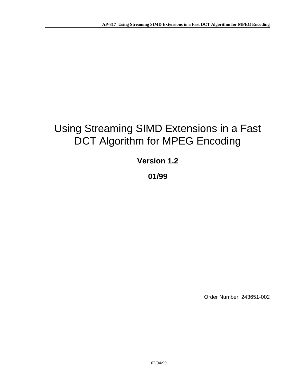# Using Streaming SIMD Extensions in a Fast DCT Algorithm for MPEG Encoding

## **Version 1.2**

## **01/99**

Order Number: 243651-002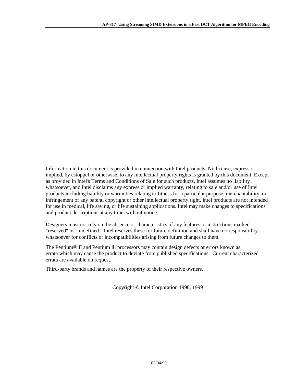Information in this document is provided in connection with Intel products. No license, express or implied, by estoppel or otherwise, to any intellectual property rights is granted by this document. Except as provided in Intel's Terms and Conditions of Sale for such products, Intel assumes no liability whatsoever, and Intel disclaims any express or implied warranty, relating to sale and/or use of Intel products including liability or warranties relating to fitness for a particular purpose, merchantability, or infringement of any patent, copyright or other intellectual property right. Intel products are not intended for use in medical, life saving, or life sustaining applications. Intel may make changes to specifications and product descriptions at any time, without notice.

Designers must not rely on the absence or characteristics of any features or instructions marked "reserved" or "undefined." Intel reserves these for future definition and shall have no responsibility whatsoever for conflicts or incompatibilities arising from future changes to them.

The Pentium® II and Pentium III processors may contain design defects or errors known as errata which may cause the product to deviate from published specifications. Current characterized errata are available on request.

Third-party brands and names are the property of their respective owners.

Copyright © Intel Corporation 1998, 1999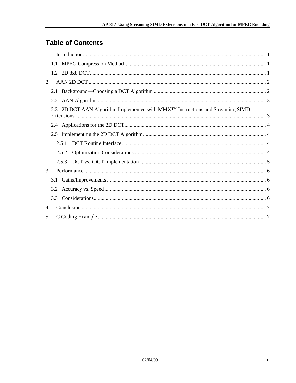## **Table of Contents**

| $\mathbf{1}$   |  |                                                                                             |  |  |  |
|----------------|--|---------------------------------------------------------------------------------------------|--|--|--|
|                |  |                                                                                             |  |  |  |
|                |  |                                                                                             |  |  |  |
| $\overline{2}$ |  |                                                                                             |  |  |  |
|                |  |                                                                                             |  |  |  |
|                |  |                                                                                             |  |  |  |
|                |  | 2.3 2D DCT AAN Algorithm Implemented with MMX <sup>TM</sup> Instructions and Streaming SIMD |  |  |  |
|                |  |                                                                                             |  |  |  |
|                |  |                                                                                             |  |  |  |
|                |  |                                                                                             |  |  |  |
|                |  | 2.5.2                                                                                       |  |  |  |
|                |  | 2.5.3                                                                                       |  |  |  |
| 3              |  |                                                                                             |  |  |  |
|                |  |                                                                                             |  |  |  |
|                |  |                                                                                             |  |  |  |
|                |  |                                                                                             |  |  |  |
| 4              |  |                                                                                             |  |  |  |
| 5              |  |                                                                                             |  |  |  |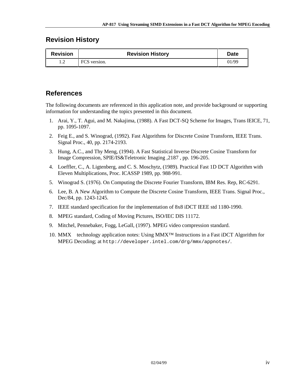#### **Revision History**

| <b>Revision</b> | <b>Revision History</b> | <b>Date</b> |
|-----------------|-------------------------|-------------|
| . . <u>.</u>    | FCS version.            | 01/99       |

#### **References**

The following documents are referenced in this application note, and provide background or supporting information for understanding the topics presented in this document.

- 1. Arai, Y., T. Agui, and M. Nakajima, (1988). A Fast DCT-SQ Scheme for Images, Trans IEICE, 71, pp. 1095-1097.
- 2. Feig E., and S. Winograd, (1992). Fast Algorithms for Discrete Cosine Transform, IEEE Trans. Signal Proc., 40, pp. 2174-2193.
- 3. Hung, A.C., and Thy Meng, (1994). A Fast Statistical Inverse Discrete Cosine Transform for Image Compression, SPIE/IS&Teletronic Imaging ,2187 , pp. 196-205.
- 4. Loeffler, C., A. Ligtenberg, and C. S. Moschytz, (1989). Practical Fast 1D DCT Algorithm with Eleven Multiplications, Proc. ICASSP 1989, pp. 988-991.
- 5. Winograd S. (1976). On Computing the Discrete Fourier Transform, IBM Res. Rep, RC-6291.
- 6. Lee, B. A New Algorithm to Compute the Discrete Cosine Transform, IEEE Trans. Signal Proc., Dec/84, pp. 1243-1245.
- 7. IEEE standard specification for the implementation of 8x8 iDCT IEEE std 1180-1990.
- 8. MPEG standard, Coding of Moving Pictures, ISO/IEC DIS 11172.
- 9. Mitchel, Pennebaker, Fogg, LeGall, (1997). MPEG video compression standard.
- 10. MMX<sup>™</sup> technology application notes: Using MMX<sup>™</sup> Instructions in a Fast iDCT Algorithm for MPEG Decoding; at http://developer.intel.com/drg/mmx/appnotes/.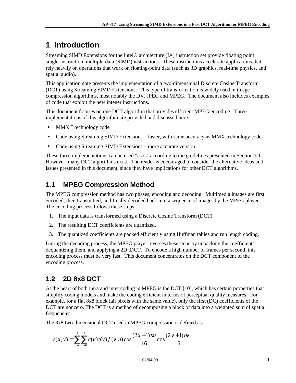# <span id="page-4-0"></span>**1 Introduction**

Streaming SIMD Extensions for the Intel® architecture (IA) instruction set provide floating point single-instruction, multiple-data (SIMD) instructions. These instructions accelerate applications that rely heavily on operations that work on floating-point data (such as 3D graphics, real-time physics, and spatial audio).

This application note presents the implementation of a two-dimensional Discrete Cosine Transform (DCT) using Streaming SIMD Extensions. This type of transformation is widely used in image compression algorithms, most notably the DV, JPEG and MPEG. The document also includes examples of code that exploit the new integer instructions.

This document focuses on one DCT algorithm that provides efficient MPEG encoding. Three implementations of this algorithm are provided and discussed here:

- $MMX^{\text{TM}}$  technology code
- Code using Streaming SIMD Extensions faster, with same accuracy as MMX technology code
- Code using Streaming SIMD Extensions more accurate version

These three implementations can be used "as is" according to the guidelines presented in Section 3.1. However, many DCT algorithms exist. The reader is encouraged to consider the alternative ideas and issues presented in this document, since they have implications for other DCT algorithms.

## **1.1 MPEG Compression Method**

The MPEG compression method has two phases, encoding and decoding. Multimedia images are first encoded, then transmitted, and finally decoded back into a sequence of images by the MPEG player. The encoding process follows these steps:

- 1. The input data is transformed using a Discrete Cosine Transform (DCT).
- 2. The resulting DCT coefficients are quantized.
- 3. The quantized coefficients are packed efficiently using Huffman tables and run length coding.

During the decoding process, the MPEG player reverses these steps by unpacking the coefficients, dequantizing them, and applying a 2D iDCT. To encode a high number of frames per second, this encoding process must be very fast. This document concentrates on the DCT component of the encoding process.

## **1.2 2D 8x8 DCT**

At the heart of both intra and inter coding in MPEG is the DCT [10], which has certain properties that simplify coding models and make the coding efficient in terms of perceptual quality measures. For example, for a flat 8x8 block (all pixels with the same value), only the first (DC) coefficients of the DCT are nonzero. The DCT is a method of decomposing a block of data into a weighted sum of spatial frequencies.

The 8x8 two-dimensional DCT used in MPEG compression is defined as:

$$
s(x, y) = \sum_{u=0}^{7} \sum_{v=0}^{7} c(u)c(v) f(v, u) \cos \frac{(2x+1)\pi u}{16} \cos \frac{(2y+1)\pi v}{16}
$$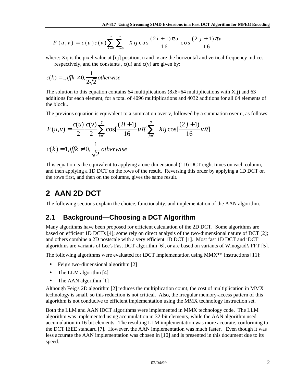<span id="page-5-0"></span>
$$
F(u, v) = c(u)c(v)\sum_{i=0}^{7} \sum_{j=0}^{7} Xij \cos \frac{(2i+1)\pi u}{16} \cos \frac{(2j+1)\pi v}{16}
$$

where: Xij is the pixel value at [i,j] position, u and v are the horizontal and vertical frequency indices respectively, and the constants,  $c(u)$  and  $c(v)$  are given by:

$$
c(k) = 1, \text{iff } \neq 0, \frac{1}{2\sqrt{2}} \text{ otherwise}
$$

The solution to this equation contains 64 multiplications ( $8x8=64$  multiplications with Xij) and 63 additions for each element, for a total of 4096 multiplications and 4032 additions for all 64 elements of the block..

The previous equation is equivalent to a summation over v, followed by a summation over u, as follows:

$$
F(u, v) = \frac{c(u)}{2} \frac{c(v)}{2} \sum_{i=0}^{7} \cos\left[\frac{(2i+1)}{16} u\pi\right] \sum_{j=0}^{7} Xij \cos\left[\frac{(2j+1)}{16} v\pi\right]
$$
  

$$
c(k) = 1, \text{iff } k \neq 0, \frac{1}{\sqrt{2}} \text{ otherwise}
$$

This equation is the equivalent to applying a one-dimensional (1D) DCT eight times on each column, and then applying a 1D DCT on the rows of the result. Reversing this order by applying a 1D DCT on the rows first, and then on the columns, gives the same result.

# **2 AAN 2D DCT**

The following sections explain the choice, functionality, and implementation of the AAN algorithm.

#### **2.1 Background—Choosing a DCT Algorithm**

Many algorithms have been proposed for efficient calculation of the 2D DCT. Some algorithms are based on efficient 1D DCTs [4]; some rely on direct analysis of the two-dimensional nature of DCT [2]; and others combine a 2D postscale with a very efficient 1D DCT [1]. Most fast 1D DCT and iDCT algorithms are variants of Lee's Fast DCT algorithm [6], or are based on variants of Winograd's FFT [5].

The following algorithms were evaluated for iDCT implementation using MMX™ instructions [11]:

- Feig's two-dimensional algorithm [2]
- The LLM algorithm [4]
- The AAN algorithm [1]

Although Feig's 2D algorithm [2] reduces the multiplication count, the cost of multiplication in MMX technology is small, so this reduction is not critical. Also, the irregular memory-access pattern of this algorithm is not conducive to efficient implementation using the MMX technology instruction set.

Both the LLM and AAN iDCT algorithms were implemented in MMX technology code. The LLM algorithm was implemented using accumulation in 32-bit elements, while the AAN algorithm used accumulation in 16-bit elements. The resulting LLM implementation was more accurate, conforming to the DCT IEEE standard [7]. However, the AAN implementation was much faster. Even though it was less accurate the AAN implementation was chosen in [10] and is presented in this document due to its speed.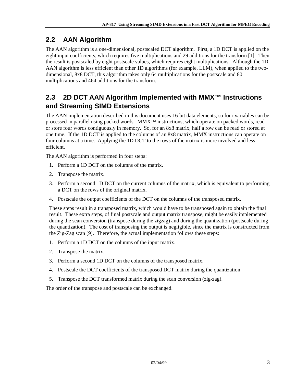## <span id="page-6-0"></span>**2.2 AAN Algorithm**

The AAN algorithm is a one-dimensional, postscaled DCT algorithm. First, a 1D DCT is applied on the eight input coefficients, which requires five multiplications and 29 additions for the transform [1]. Then the result is postscaled by eight postscale values, which requires eight multiplications. Although the 1D AAN algorithm is less efficient than other 1D algorithms (for example, LLM), when applied to the twodimensional, 8x8 DCT, this algorithm takes only 64 multiplications for the postscale and 80 multiplications and 464 additions for the transform.

## **2.3 2D DCT AAN Algorithm Implemented with MMX™ Instructions and Streaming SIMD Extensions**

The AAN implementation described in this document uses 16-bit data elements, so four variables can be processed in parallel using packed words. MMX™ instructions, which operate on packed words, read or store four words contiguously in memory. So, for an 8x8 matrix, half a row can be read or stored at one time. If the 1D DCT is applied to the columns of an 8x8 matrix, MMX instructions can operate on four columns at a time. Applying the 1D DCT to the rows of the matrix is more involved and less efficient.

The AAN algorithm is performed in four steps:

- 1. Perform a 1D DCT on the columns of the matrix.
- 2. Transpose the matrix.
- 3. Perform a second 1D DCT on the current columns of the matrix, which is equivalent to performing a DCT on the rows of the original matrix.
- 4. Postscale the output coefficients of the DCT on the columns of the transposed matrix.

These steps result in a transposed matrix, which would have to be transposed again to obtain the final result. These extra steps, of final postscale and output matrix transpose, might be easily implemented during the scan conversion (transpose during the zigzag) and during the quantization (postscale during the quantization). The cost of transposing the output is negligible, since the matrix is constructed from the Zig-Zag scan [9]. Therefore, the actual implementation follows these steps:

- 1. Perform a 1D DCT on the columns of the input matrix.
- 2. Transpose the matrix.
- 3. Perform a second 1D DCT on the columns of the transposed matrix.
- 4. Postscale the DCT coefficients of the transposed DCT matrix during the quantization
- 5. Transpose the DCT transformed matrix during the scan conversion (zig-zag).

The order of the transpose and postscale can be exchanged.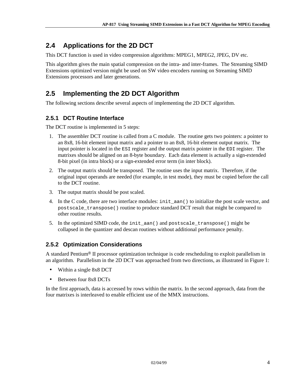## <span id="page-7-0"></span>**2.4 Applications for the 2D DCT**

This DCT function is used in video compression algorithms: MPEG1, MPEG2, JPEG, DV etc.

This algorithm gives the main spatial compression on the intra- and inter-frames. The Streaming SIMD Extensions optimized version might be used on SW video encoders running on Streaming SIMD Extensions processors and later generations.

## **2.5 Implementing the 2D DCT Algorithm**

The following sections describe several aspects of implementing the 2D DCT algorithm.

#### **2.5.1 DCT Routine Interface**

The DCT routine is implemented in 5 steps:

- 1. The assembler DCT routine is called from a C module. The routine gets two pointers: a pointer to an 8x8, 16-bit element input matrix and a pointer to an 8x8, 16-bit element output matrix. The input pointer is located in the ESI register and the output matrix pointer in the EDI register. The matrixes should be aligned on an 8-byte boundary. Each data element is actually a sign-extended 8-bit pixel (in intra block) or a sign-extended error term (in inter block).
- 2. The output matrix should be transposed. The routine uses the input matrix. Therefore, if the original input operands are needed (for example, in test mode), they must be copied before the call to the DCT routine.
- 3. The output matrix should be post scaled.
- 4. In the C code, there are two interface modules: init\_aan() to initialize the post scale vector, and postscale\_transpose() routine to produce standard DCT result that might be compared to other routine results.
- 5. In the optimized SIMD code, the init\_aan() and postscale\_transpose() might be collapsed in the quantizer and descan routines without additional performance penalty.

#### **2.5.2 Optimization Considerations**

A standard Pentium® II processor optimization technique is code rescheduling to exploit parallelism in an algorithm. Parallelism in the 2D DCT was approached from two directions, as illustrated in Figure 1:

- Within a single 8x8 DCT
- Between four 8x8 DCTs

In the first approach, data is accessed by rows within the matrix. In the second approach, data from the four matrixes is interleaved to enable efficient use of the MMX instructions.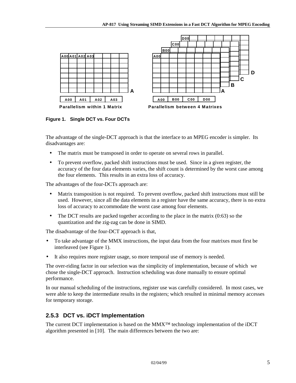<span id="page-8-0"></span>

**Figure 1. Single DCT vs. Four DCTs**

The advantage of the single-DCT approach is that the interface to an MPEG encoder is simpler. Its disadvantages are:

- The matrix must be transposed in order to operate on several rows in parallel.
- To prevent overflow, packed shift instructions must be used. Since in a given register, the accuracy of the four data elements varies, the shift count is determined by the worst case among the four elements. This results in an extra loss of accuracy.

The advantages of the four-DCTs approach are:

- Matrix transposition is not required. To prevent overflow, packed shift instructions must still be used. However, since all the data elements in a register have the same accuracy, there is no extra loss of accuracy to accommodate the worst case among four elements.
- The DCT results are packed together according to the place in the matrix (0:63) so the quantization and the zig-zag can be done in SIMD.

The disadvantage of the four-DCT approach is that,

- To take advantage of the MMX instructions, the input data from the four matrixes must first be interleaved (see Figure 1).
- It also requires more register usage, so more temporal use of memory is needed.

The over-riding factor in our selection was the simplicity of implementation, because of which we chose the single-DCT approach. Instruction scheduling was done manually to ensure optimal performance.

In our manual scheduling of the instructions, register use was carefully considered. In most cases, we were able to keep the intermediate results in the registers; which resulted in minimal memory accesses for temporary storage.

#### **2.5.3 DCT vs. iDCT Implementation**

The current DCT implementation is based on the  $MMX^{TM}$  technology implementation of the iDCT algorithm presented in [10]. The main differences between the two are: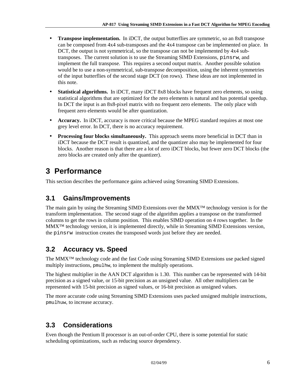- <span id="page-9-0"></span>• **Transpose implementation.** In iDCT, the output butterflies are symmetric, so an 8x8 transpose can be composed from 4x4 sub-transposes and the 4x4 transpose can be implemented on place. In DCT, the output is not symmetrical, so the transpose can not be implemented by 4x4 subtransposes. The current solution is to use the Streaming SIMD Extensions, pinsrw, and implement the full transpose. This requires a second output matrix. Another possible solution would be to use a non-symmetrical, sub-transpose decomposition, using the inherent symmetries of the input butterflies of the second stage DCT (on rows). These ideas are not implemented in this note.
- **Statistical algorithms.** In iDCT, many iDCT 8x8 blocks have frequent zero elements, so using statistical algorithms that are optimized for the zero elements is natural and has potential speedup. In DCT the input is an 8x8-pixel matrix with no frequent zero elements. The only place with frequent zero elements would be after quantization.
- **Accuracy.** In iDCT, accuracy is more critical because the MPEG standard requires at most one grey level error. In DCT, there is no accuracy requirement.
- **Processing four blocks simultaneously.** This approach seems more beneficial in DCT than in iDCT because the DCT result is quantized, and the quantizer also may be implemented for four blocks. Another reason is that there are a lot of zero iDCT blocks, but fewer zero DCT blocks (the zero blocks are created only after the quantizer).

# **3 Performance**

This section describes the performance gains achieved using Streaming SIMD Extensions.

#### **3.1 Gains/Improvements**

The main gain by using the Streaming SIMD Extensions over the MMX™ technology version is for the transform implementation. The second stage of the algorithm applies a transpose on the transformed columns to get the rows in column position. This enables SIMD operation on 4 rows together. In the MMX™ technology version, it is implemented directly, while in Streaming SIMD Extensions version, the pinsrw instruction creates the transposed words just before they are needed.

## **3.2 Accuracy vs. Speed**

The MMX™ technology code and the fast Code using Streaming SIMD Extensions use packed signed multiply instructions, pmulhw, to implement the multiply operations.

The highest multiplier in the AAN DCT algorithm is 1.30. This number can be represented with 14-bit precision as a signed value, or 15-bit precision as an unsigned value. All other multipliers can be represented with 15-bit precision as signed values, or 16-bit precision as unsigned values.

The more accurate code using Streaming SIMD Extensions uses packed unsigned multiple instructions, pmulhuw, to increase accuracy.

## **3.3 Considerations**

Even though the Pentium II processor is an out-of-order CPU, there is some potential for static scheduling optimizations, such as reducing source dependency.